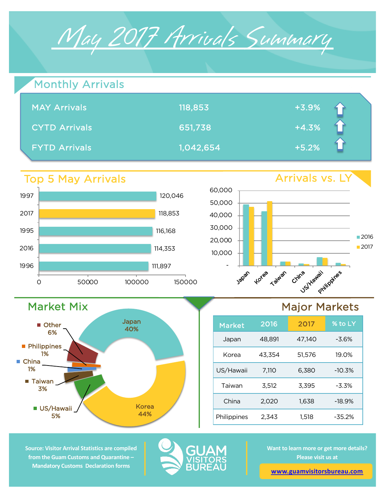

| Monthly Arrivals     |           |         |  |
|----------------------|-----------|---------|--|
| <b>MAY Arrivals</b>  | 118,853   | $+3.9%$ |  |
| <b>CYTD Arrivals</b> | 651,738   | $+4.3%$ |  |
| <b>FYTD Arrivals</b> | 1,042,654 | $+5.2%$ |  |

## Top 5 May Arrivals

Market Mix

5%

■ Taiwan 3%

**Philippines** 1%

**Other** 6%

■ China 1%

 $\blacksquare$ 



Japan 40%

Korea



## Major Markets



**Source: Visitor Arrival Statistics are compiled from the Guam Customs and Quarantine – Mandatory Customs Declaration forms** 

44% US/Hawaii



**Want to learn more or get more details? Please visit us at** 

**www.guamvisitorsbureau.com**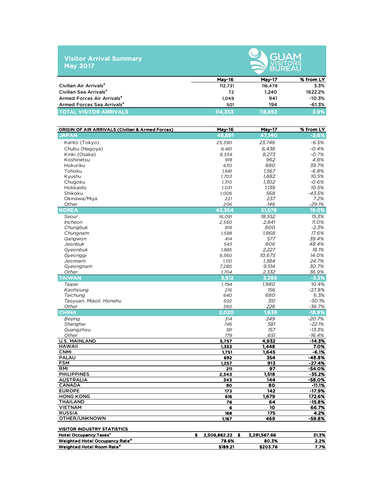|                 |  | <b>Visitor Arrival Summary</b> |  |
|-----------------|--|--------------------------------|--|
| <b>May 2017</b> |  |                                |  |



|                                        | <b>May-16</b> | <b>May-17</b> | % from LY |  |  |  |  |  |  |
|----------------------------------------|---------------|---------------|-----------|--|--|--|--|--|--|
| Civilian Air Arrivals <sup>a</sup>     | 112.731       | 116,478       | 3.3%      |  |  |  |  |  |  |
| Civilian Sea Arrivals <sup>a</sup>     | 72            | 1.240         | 1622.2%   |  |  |  |  |  |  |
| Armed Forces Air Arrivals <sup>a</sup> | 1.049         | 941           | $-10.3%$  |  |  |  |  |  |  |
| Armed Forces Sea Arrivals <sup>a</sup> | 501           | 194           | $-61.3%$  |  |  |  |  |  |  |
| <b>TOTAL VISITOR ARRIVALS</b>          | 114.353       | 118.853       | 3.9%      |  |  |  |  |  |  |

| <b>ORIGIN OF AIR ARRIVALS (Civilian &amp; Armed Forces)</b> | <b>May-16</b>           | May-17       | % from LY            |
|-------------------------------------------------------------|-------------------------|--------------|----------------------|
| <b>JAPAN</b>                                                | 48.891                  | 47,140       | $-3.6%$              |
| Kanto (Tokyo)                                               | 25,390                  | 23,746       | $-6.5%$              |
| Chubu (Nagoya)                                              | 6,461                   | 6,438        | $-0.4%$              |
| Kinki (Osaka)                                               | 8,334                   | 8,273        | $-0.7%$              |
| Koshinetsu                                                  | 918                     | 962          | 4.8%                 |
| Hokuriku                                                    | 630                     | 880          | 39.7%                |
| Tohoku                                                      | 1.681                   | 1.567        | $-6.8%$              |
| Kyushu                                                      | 1,703                   | 1.882        | 10.5%                |
| Chugoku                                                     | 1,310                   | 1,302        | $-0.6%$              |
| Hokkaido                                                    | 1,031                   | 1,139        | 10.5%                |
| Shikoku                                                     | 1,006                   | 568          | $-43.5%$             |
| Okinawa/Miya                                                | 221                     | 237          | 7.2%                 |
| Other                                                       | 206                     | 146          | -29.1%               |
| <b>KOREA</b>                                                | 43,354                  | 51,576       | 19.0%                |
| Seoul                                                       | 16,091                  | 18,552       | 15.3%                |
| Incheon                                                     | 2,560                   | 2,841        | 11.0%                |
| Chungbuk                                                    | 819                     | 800          | $-2.3%$              |
| Chungnam                                                    | 1,588                   | 1,868        | 17.6%                |
| Gangwon                                                     | 414                     | 577          | 39.4%                |
| Jeonbuk                                                     | 543                     | 806          | 48.4%                |
| Gyeonbuk                                                    | 1,885                   | 2,227        | 18.1%                |
| Gyeonggi                                                    | 9,360                   | 10,675       | 14.0%                |
| Jeonnam                                                     | 1,110                   | 1,384        | 24.7%                |
| Gyeongnam                                                   | 7,280                   | 9,514        | 30.7%                |
| Other                                                       | 1,704                   | 2,332        | 36.9%                |
| <b>TAIWAN</b>                                               | 3,512                   | 3,395        | $-3.3%$              |
| Taipei                                                      | 1.794                   | 1.980        | 10.4%                |
| Kaohsiung                                                   | 216                     | 156          | $-27.8%$             |
| Taichung                                                    | 640                     | 680          | 6.3%                 |
| Taoyuan, Miaoli, Hsinehu                                    | 502                     | 351          | $-30.1%$             |
| Other                                                       | 360                     | 228          | $-36.7%$             |
| <b>CHINA</b>                                                | 2,020                   | 1,638        | $-18.9%$             |
| Beijing                                                     | 314                     | 249          | $-20.7%$             |
| Shanghai                                                    | 746                     | 581          | $-22.1%$             |
| Guangzhou                                                   | 181                     | 157          | $-13.3%$             |
| Other<br><b>U.S. MAINLAND</b>                               | 779<br>5,757            | 651<br>4,932 | $-16.4%$<br>$-14.3%$ |
| <b>HAWAII</b>                                               | 1,353                   | 1,448        | 7.0%                 |
| <b>CNMI</b>                                                 | 1,751                   | 1,645        | $-6.1%$              |
| <b>PALAU</b>                                                | 692                     | 354          | $-48.8%$             |
| <b>FSM</b>                                                  | 1,257                   | 913          | $-27.4%$             |
| <b>RMI</b>                                                  | 211                     | 97           | -54.0%               |
| <b>PHILIPPINES</b>                                          | 2,343                   | 1,518        | $-35.2%$             |
| <b>AUSTRALIA</b>                                            | 343                     | 144          | -58.0%               |
| <b>CANADA</b>                                               | 90                      | 80           | $-11.1%$             |
| <b>EUROPE</b>                                               | 173                     | 142          | $-17.9%$             |
| <b>HONG KONG</b>                                            | 616                     | 1,679        | 172.6%               |
| <b>THAILAND</b>                                             | 76                      | 64           | $-15.8%$             |
| <b>VIETNAM</b>                                              | 6                       | 10           | 66.7%                |
| <b>RUSSIA</b>                                               | 168                     | 175          | 4.2%                 |
| OTHER/UNKNOWN                                               | 1,167                   | 469          | -59.8%               |
|                                                             |                         |              |                      |
| <b>VISITOR INDUSTRY STATISTICS</b>                          |                         |              |                      |
| <b>Hotel Occupancy Taxes<sup>c</sup></b>                    | \$<br>2,506,862.22<br>s | 3,291,567.66 | 31.3%                |
| Weighted Hotel Occupancy Rate <sup>d</sup>                  | 78.6%                   | 80.3%        | 2.2%                 |
| Weighted Hotel Room Rate <sup>d</sup>                       | \$189.21                | \$203.76     | 7.7%                 |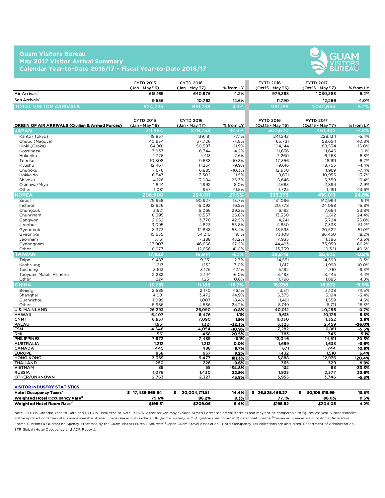## **Guam Visitors Bureau May 2017 Visitor Arrival Summary Calendar Year-to-Date 2016/17 • Fiscal Year-to-Date 2016/17**



|                               | <b>CYTD 2015</b><br>(Jan - Mav '16) | CYTD 2016<br>(Jan - Mav '17) | $%$ from LY | <b>FYTD 2016</b><br>(Oct15 - May '16) | <b>FYTD 2017</b><br>(Oct15 - May '17) | % from LY |
|-------------------------------|-------------------------------------|------------------------------|-------------|---------------------------------------|---------------------------------------|-----------|
| Air Arrivals <sup>a</sup>     | 615.169                             | 640.976                      | 4.2%        | 979.398                               | 1.030.388                             | 5.2%      |
| Sea Arrivals <sup>a</sup>     | 9.556                               | 10.762                       | 12.6%       | 11.790                                | 12.266                                | 4.0%      |
| <b>TOTAL VISITOR ARRIVALS</b> | 624.725                             | 651,738,                     | $.3\%$      | 991,188                               | 1.042.654                             | $5.2\%$   |

| <b>ORIGIN OF AIR ARRIVALS (Civilian &amp; Armed Forces)</b> | <b>CYTD 2015</b><br>(Jan - May '16) | <b>CYTD 2016</b><br>(Jan - May '17) | % from LY       | <b>FYTD 2016</b><br>(Oct15 - May '16) | <b>FYTD 2017</b><br>(Oct15 - May '17) | % from LY       |
|-------------------------------------------------------------|-------------------------------------|-------------------------------------|-----------------|---------------------------------------|---------------------------------------|-----------------|
| <b>JAPAN</b>                                                | 311,954                             | 279,753                             | $-10.3%$        | 500,620                               | 461,342                               | $-7.8%$         |
| Kanto (Tokyo)                                               | 149,857                             | 139,181                             | $-7.1%$         | 241,242                               | 228,134                               | $-5.4%$         |
| Chubu (Nagoya)                                              | 40,934                              | 37,726                              | $-7.8%$         | 65,731                                | 58,654                                | $-10.8%$        |
| Kinki (Osaka)                                               | 64,801                              | 50,597                              | $-21.9%$        | 104,144                               | 88,534                                | $-15.0%$        |
| Koshinetsu                                                  | 7.037                               | 6.744                               | $-4.2%$         | 11.656                                | 11.645                                | $-0.1%$         |
| Hokuriku                                                    | 4,776                               | 4,413                               | $-7.6%$         | 7,260                                 | 6,763                                 | $-6.8%$         |
| Tohoku                                                      | 10,808                              | 9,638                               | $-10.8%$        | 17,356                                | 16,191                                | $-6.7%$         |
| Kyushu                                                      | 12,467                              | 11,234                              | $-9.9%$         | 19,616                                | 18,753                                | $-4.4%$         |
| Chugoku                                                     | 7,676                               | 6,885                               | $-10.3%$        | 12,930                                | 11,969                                | $-7.4%$         |
| Hokkaido                                                    | 6,547                               | 7,302                               | 11.5%           | 9,631                                 | 10,955                                | 13.7%           |
| Shikoku                                                     | 4,126                               | 3,084                               | $-25.3%$        | 6,646                                 | 5,359                                 | $-19.4%$        |
| Okinawa/Miya                                                | 1.844                               | 1.992                               | 8.0%            | 2.683                                 | 2,894                                 | 7.9%            |
| Other                                                       | 1.081                               | 957                                 | $-11.5%$        | 1.725                                 | 1.491                                 | $-13.6%$        |
| <b>KOREA</b>                                                | 206.900                             | 264,011                             | 27.6%           | 333,375                               | 416.013                               | 24.8%           |
| Seoul                                                       | 79,958                              | 90,927                              | 13.7%           | 131,096                               | 142,994                               | 9.1%            |
| Incheon                                                     | 12,926                              | 15,092                              | 16.8%           | 20,778                                | 24,058                                | 15.8%           |
| Chungbuk                                                    | 3,921                               | 5,066                               | 29.2%           | 6,192                                 | 7,664                                 | 23.8%           |
| Chungnam                                                    | 8.395                               | 10,557                              | 25.8%           | 13.350                                | 16.612                                | 24.4%           |
| Gangwon                                                     | 2,652                               | 3,778                               | 42.5%           | 4,241                                 | 5,724                                 | 35.0%           |
| Jeonbuk                                                     | 3.095                               | 4,823                               | 55.8%           | 4.850                                 | 7,333                                 | 51.2%           |
| Gyeonbuk                                                    | 8,373                               | 12,848                              | 53.4%           | 13,593                                | 20,522                                | 51.0%           |
| Gyeonggi                                                    | 45,535                              | 54,210                              | 19.1%           | 73.108                                | 86,430                                | 18.2%           |
| Jeonnam                                                     | 5,161                               | 7,388                               | 43.2%           | 7,935                                 | 11,396                                | 43.6%           |
| Gyeongnam                                                   | 27,907                              | 46,666                              | 67.2%           | 44,493                                | 73,959                                | 66.2%           |
| Other                                                       | 8,977                               | 12,656                              | 41.0%           | 13,739                                | 19,321                                | 40.6%           |
| <b>TAIWAN</b>                                               | 17,823                              | 16,914                              | $-5.1%$         | 26,849                                | 26.635                                | $-0.8%$         |
| Taipei                                                      | 9,487                               | 9,231                               | $-2.7%$         | 14,551                                | 14,599                                | 0.3%            |
| Kaohsiung                                                   | 1,217                               | 1,132                               | $-7.0%$         | 1,817                                 | 1,998                                 | 10.0%           |
| Taichung                                                    | 3,613                               | 3,176                               | $-12.1%$        | 5,192                                 | 4,710                                 | $-9.3%$         |
| Taoyuan, Miaoli, Hsinehu                                    | 2,282                               | 2,144                               | $-6.0%$         | 3,493                                 | 3,445                                 | $-1.4%$         |
| Other                                                       | 1,224                               | 1,231                               | 0.6%            | 1,796                                 | 1,883                                 | 4.8%            |
| <b>CHINA</b>                                                | 13,751                              | 11.185                              | $-18.7%$        | 18,396                                | 16,572                                | $-9.9%$         |
| <b>Beijing</b>                                              | 2,585                               | 2,170                               | $-16.1%$        | 3,511                                 | 3,108                                 | $-11.5%$        |
| Shanghai                                                    | 4,081                               | 3,472                               | $-14.9%$        | 5,375                                 | 5,194                                 | $-3.4%$         |
| Guangzhou                                                   | 1,099                               | 1,007                               | $-8.4%$         | 1,491                                 | 1,559                                 | 4.6%            |
| Other                                                       | 5,986                               | 4,536                               | $-24.2%$        | 8.019                                 | 6,711                                 | $-16.3%$        |
| <b>U.S. MAINLAND</b>                                        | 26,293                              | 26,090                              | $-0.8%$         | 40,012                                | 40,296                                | 0.7%            |
| <b>HAWAII</b>                                               | 6,407                               | 6,476                               | 1.1%            | 9,615                                 | 10,176                                | 5.8%            |
| <b>CNMI</b>                                                 | 6,957                               | 7,090                               | 1.9%            | 11,030                                | 11,352                                | 2.9%            |
| PALAU                                                       | 1,951                               | 1,321                               | $-32.3%$        | 3,325                                 | 2,459                                 | -26.0%          |
| <b>FSM</b>                                                  | 4,548                               | 4,054                               | $-10.9%$        | 7,282                                 | 6,881                                 | $-5.5%$         |
| RMI                                                         | 551                                 | 438                                 | $-20.5%$        | 783                                   | 743                                   | $-5.1%$         |
| <b>PHILIPPINES</b>                                          | 7,972                               | 7,489                               | -6.1%           | 12,046                                | 14,511                                | 20.5%           |
| <b>AUSTRALIA</b>                                            | 1,212                               | 1,212                               | 0.0%            | 1,699                                 | 1,638                                 | $-3.6%$         |
| <b>CANADA</b><br><b>EUROPE</b>                              | 445                                 | 488<br>937                          | 9.7%            | 671                                   | 744                                   | 10.9%           |
|                                                             | 858                                 |                                     | 9.2%            | 1,432                                 | 1,510                                 | 5.4%            |
| <b>HONG KONG</b>                                            | 3,369                               | 9,477<br>226                        | 181.3%<br>-9.6% | 5,888<br>365                          | 12,976                                | 120.4%<br>-9.9% |
| THAILAND<br><b>VIETNAM</b>                                  | 250<br>89                           | 58                                  |                 | 132                                   | 329<br>88                             | -33.3%          |
| <b>RUSSIA</b>                                               | 1,076                               | 1,430                               | -34.8%<br>32.9% | 1,923                                 | 2,377                                 | 23.6%           |
| OTHER/UNKNOWN                                               | 2,763                               | 2,327                               | $-15.8%$        | 3,955                                 | 3,746                                 | $-5.3%$         |
|                                                             |                                     |                                     |                 |                                       |                                       |                 |
| <b>VISITOR INDUSTRY STATISTICS</b>                          |                                     |                                     |                 |                                       |                                       |                 |
| <b>Hotel Occupancy Taxes<sup>c</sup></b>                    | \$17.489.669.64                     | 20,004,711.51<br>s.                 | 14.4%           | \$26,525,469.27                       | 30,105,318.99<br>s.                   | 13.5%           |
| Weighted Hotel Occupancy Rate <sup>d</sup>                  | 79.6%                               | 86.2%                               | 8.3%            | 77.1%                                 | 86.0%                                 | 11.5%           |

Note: CYTD is Calendar Year-to-Date and FYTD is Fiscal Year-to-Date. 2016/17 visitor arrivals may exclude Armed Forces sea arrival statistics and may not be comparable to figures last year. Visitor statistics will be updated once the data is made available. Armed Forces sea arrivals exclude HP (home ported) or MSC (military sea command) personnel. Source: <sup>a</sup>Civilian air & sea arrivals. Customs Declaration Forms, Customs & Quarantine Agency. Processed by the Guam Visitors Bureau. Sources: bJapan Guam Travel Association, <sup>c</sup>Hotel Occupancy Tax collections are unaudited. Department of Administration, STR Global (Hotel Occupancy and ADR Report).

 $\text{Weighted Hotel Room Rate}^d$   $\text{Rate}^d$   $\text{4.2\%}$